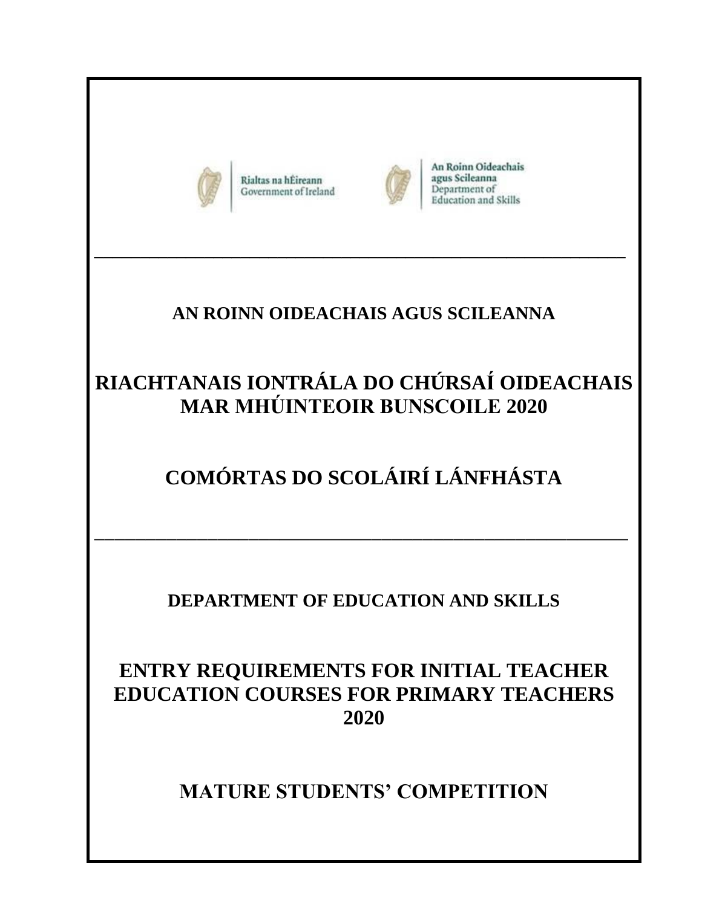

Rialtas na hÉireann Government of Ireland



An Roinn Oideachais agus Scileanna Department of **Education and Skills** 

## **AN ROINN OIDEACHAIS AGUS SCILEANNA**

**\_\_\_\_\_\_\_\_\_\_\_\_\_\_\_\_\_\_\_\_\_\_\_\_\_\_\_\_\_\_\_\_\_\_\_\_\_\_\_\_\_\_\_\_\_\_\_\_\_\_\_\_\_\_\_\_\_\_**

# **RIACHTANAIS IONTRÁLA DO CHÚRSAÍ OIDEACHAIS MAR MHÚINTEOIR BUNSCOILE 2020**

# **COMÓRTAS DO SCOLÁIRÍ LÁNFHÁSTA**

## **DEPARTMENT OF EDUCATION AND SKILLS**

## **ENTRY REQUIREMENTS FOR INITIAL TEACHER EDUCATION COURSES FOR PRIMARY TEACHERS 2020**

**MATURE STUDENTS' COMPETITION**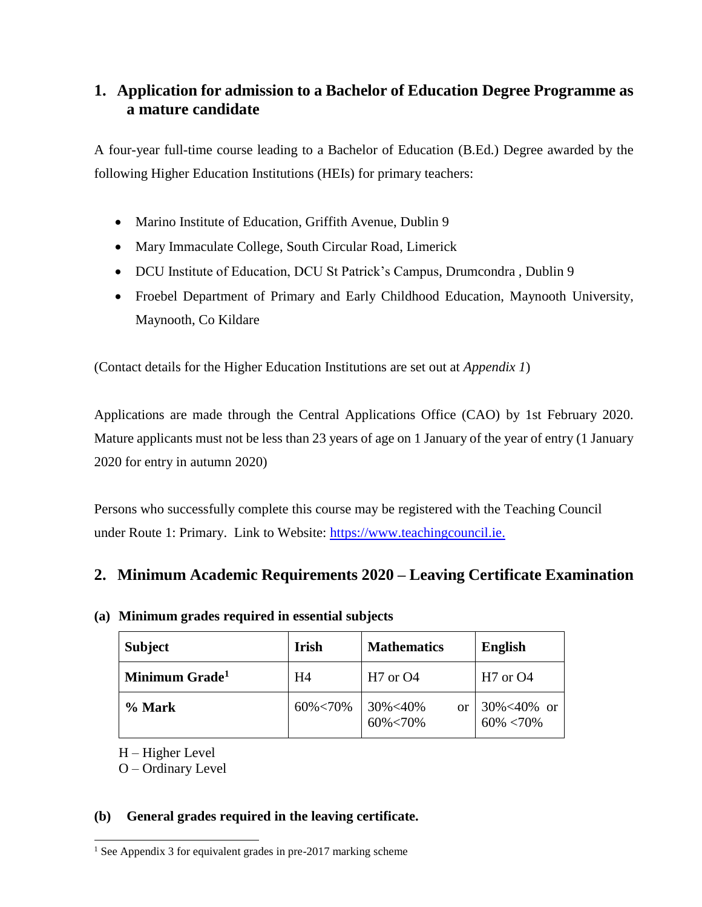### **1. Application for admission to a Bachelor of Education Degree Programme as a mature candidate**

A four-year full-time course leading to a Bachelor of Education (B.Ed.) Degree awarded by the following Higher Education Institutions (HEIs) for primary teachers:

- [Marino Institute of Education, Griffith Avenue, Dublin 9](http://www.mie.ie/)
- [Mary Immaculate College, South Circular Road, Limerick](http://www.mic.ul.ie/)
- DCU Institute of Education, DCU St Patrick's Campus, Drumcondra, Dublin 9
- Froebel Department of Primary and Early Childhood Education, Maynooth University, Maynooth, Co Kildare

(Contact details for the Higher Education Institutions are set out at *Appendix 1*)

Applications are made through the Central Applications Office (CAO) by 1st February 2020. Mature applicants must not be less than 23 years of age on 1 January of the year of entry (1 January 2020 for entry in autumn 2020)

Persons who successfully complete this course may be registered with the Teaching Council under Route 1: Primary. Link to Website: [https://www.teachingcouncil.ie.](https://www.teachingcouncil.ie/)

### **2. Minimum Academic Requirements 2020 – Leaving Certificate Examination**

| <b>Subject</b>             | <b>Irish</b>   | <b>Mathematics</b>              | <b>English</b>                    |
|----------------------------|----------------|---------------------------------|-----------------------------------|
| Minimum Grade <sup>1</sup> | H <sub>4</sub> | $H7$ or $O4$                    | $H7$ or $O4$                      |
| % Mark                     | 60%<70%        | 30%<40%<br><b>or</b><br>60%<70% | $30\% < 40\%$ or<br>$60\% < 70\%$ |

### **(a) Minimum grades required in essential subjects**

H – Higher Level

O – Ordinary Level

#### **(b) General grades required in the leaving certificate.**

 $\overline{a}$  $<sup>1</sup>$  See Appendix 3 for equivalent grades in pre-2017 marking scheme</sup>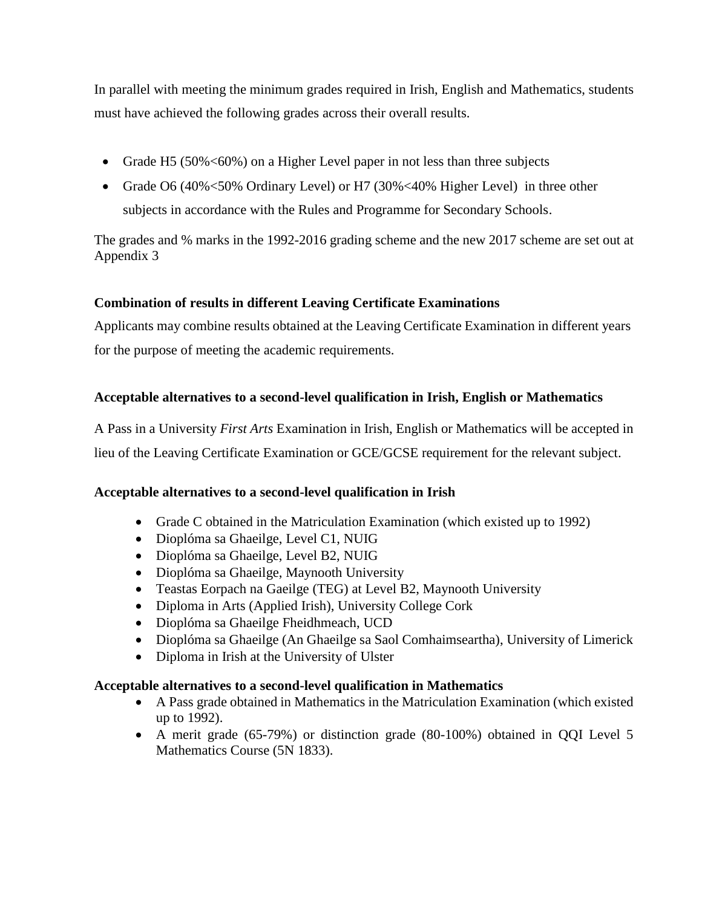In parallel with meeting the minimum grades required in Irish, English and Mathematics, students must have achieved the following grades across their overall results.

- Grade H5 (50% < 60%) on a Higher Level paper in not less than three subjects
- Grade O6 (40% < 50% Ordinary Level) or H7 (30% < 40% Higher Level) in three other subjects in accordance with the Rules and Programme for Secondary Schools.

The grades and % marks in the 1992-2016 grading scheme and the new 2017 scheme are set out at Appendix 3

#### **Combination of results in different Leaving Certificate Examinations**

Applicants may combine results obtained at the Leaving Certificate Examination in different years for the purpose of meeting the academic requirements.

#### **Acceptable alternatives to a second-level qualification in Irish, English or Mathematics**

A Pass in a University *First Arts* Examination in Irish, English or Mathematics will be accepted in lieu of the Leaving Certificate Examination or GCE/GCSE requirement for the relevant subject.

#### **Acceptable alternatives to a second-level qualification in Irish**

- Grade C obtained in the Matriculation Examination (which existed up to 1992)
- Dioplóma sa Ghaeilge, Level C1, NUIG
- Dioplóma sa Ghaeilge, Level B2, NUIG
- Dioplóma sa Ghaeilge, Maynooth University
- Teastas Eorpach na Gaeilge (TEG) at Level B2, Maynooth University
- Diploma in Arts (Applied Irish), University College Cork
- Dioplóma sa Ghaeilge Fheidhmeach, UCD
- Dioplóma sa Ghaeilge (An Ghaeilge sa Saol Comhaimseartha), University of Limerick
- Diploma in Irish at the University of Ulster

#### **Acceptable alternatives to a second-level qualification in Mathematics**

- A Pass grade obtained in Mathematics in the Matriculation Examination (which existed up to 1992).
- A merit grade (65-79%) or distinction grade (80-100%) obtained in QQI Level 5 Mathematics Course (5N 1833).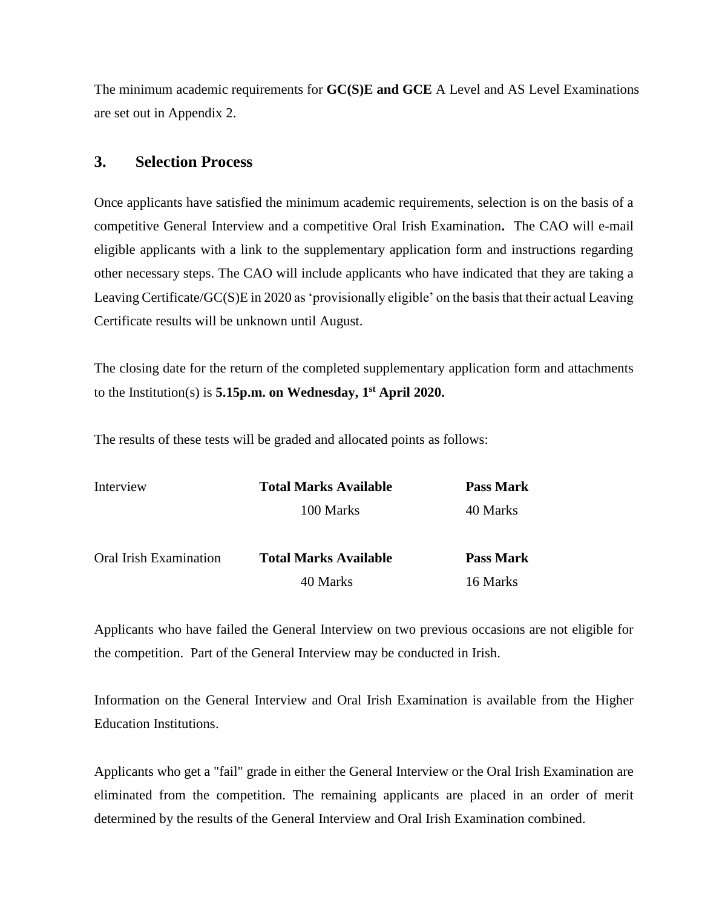The minimum academic requirements for **GC(S)E and GCE** A Level and AS Level Examinations are set out in Appendix 2.

### **3. Selection Process**

Once applicants have satisfied the minimum academic requirements, selection is on the basis of a competitive General Interview and a competitive Oral Irish Examination**.** The CAO will e-mail eligible applicants with a link to the supplementary application form and instructions regarding other necessary steps. The CAO will include applicants who have indicated that they are taking a Leaving Certificate/GC(S)E in 2020 as 'provisionally eligible' on the basis that their actual Leaving Certificate results will be unknown until August.

The closing date for the return of the completed supplementary application form and attachments to the Institution(s) is **5.15p.m. on Wednesday, 1 st April 2020.**

The results of these tests will be graded and allocated points as follows:

| Interview              | <b>Total Marks Available</b> | <b>Pass Mark</b> |
|------------------------|------------------------------|------------------|
|                        | 100 Marks                    | 40 Marks         |
| Oral Irish Examination | <b>Total Marks Available</b> | <b>Pass Mark</b> |
|                        | 40 Marks                     | 16 Marks         |

Applicants who have failed the General Interview on two previous occasions are not eligible for the competition. Part of the General Interview may be conducted in Irish.

Information on the General Interview and Oral Irish Examination is available from the Higher Education Institutions.

Applicants who get a "fail" grade in either the General Interview or the Oral Irish Examination are eliminated from the competition. The remaining applicants are placed in an order of merit determined by the results of the General Interview and Oral Irish Examination combined.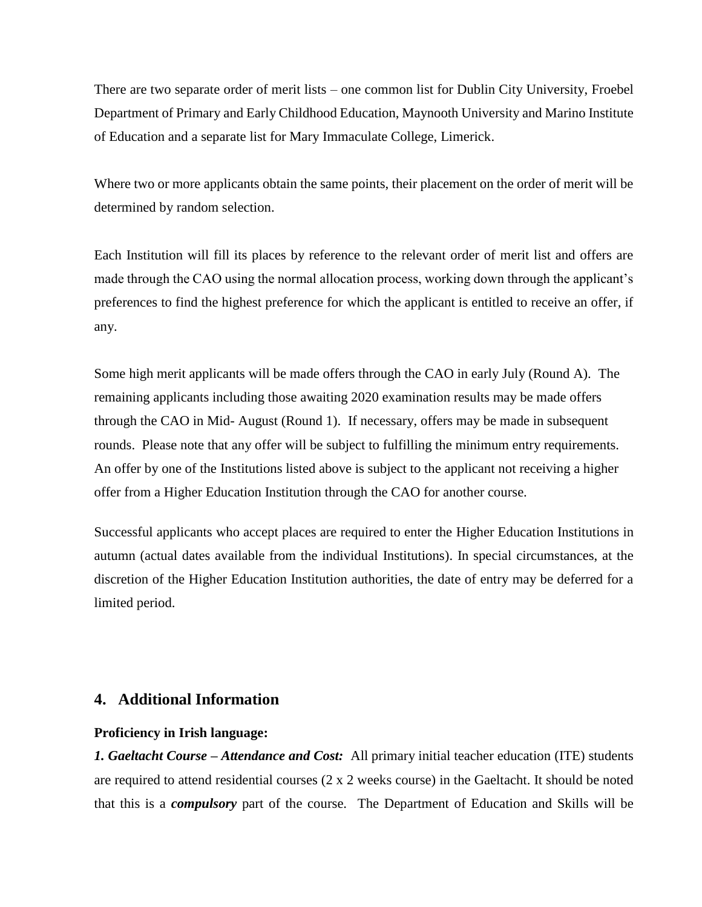There are two separate order of merit lists – one common list for Dublin City University, Froebel Department of Primary and Early Childhood Education, Maynooth University and Marino Institute of Education and a separate list for Mary Immaculate College, Limerick.

Where two or more applicants obtain the same points, their placement on the order of merit will be determined by random selection.

Each Institution will fill its places by reference to the relevant order of merit list and offers are made through the CAO using the normal allocation process, working down through the applicant's preferences to find the highest preference for which the applicant is entitled to receive an offer, if any.

Some high merit applicants will be made offers through the CAO in early July (Round A). The remaining applicants including those awaiting 2020 examination results may be made offers through the CAO in Mid- August (Round 1). If necessary, offers may be made in subsequent rounds. Please note that any offer will be subject to fulfilling the minimum entry requirements. An offer by one of the Institutions listed above is subject to the applicant not receiving a higher offer from a Higher Education Institution through the CAO for another course.

Successful applicants who accept places are required to enter the Higher Education Institutions in autumn (actual dates available from the individual Institutions). In special circumstances, at the discretion of the Higher Education Institution authorities, the date of entry may be deferred for a limited period.

#### **4. Additional Information**

#### **Proficiency in Irish language:**

*1. Gaeltacht Course – Attendance and Cost:* All primary initial teacher education (ITE) students are required to attend residential courses (2 x 2 weeks course) in the Gaeltacht. It should be noted that this is a *compulsory* part of the course. The Department of Education and Skills will be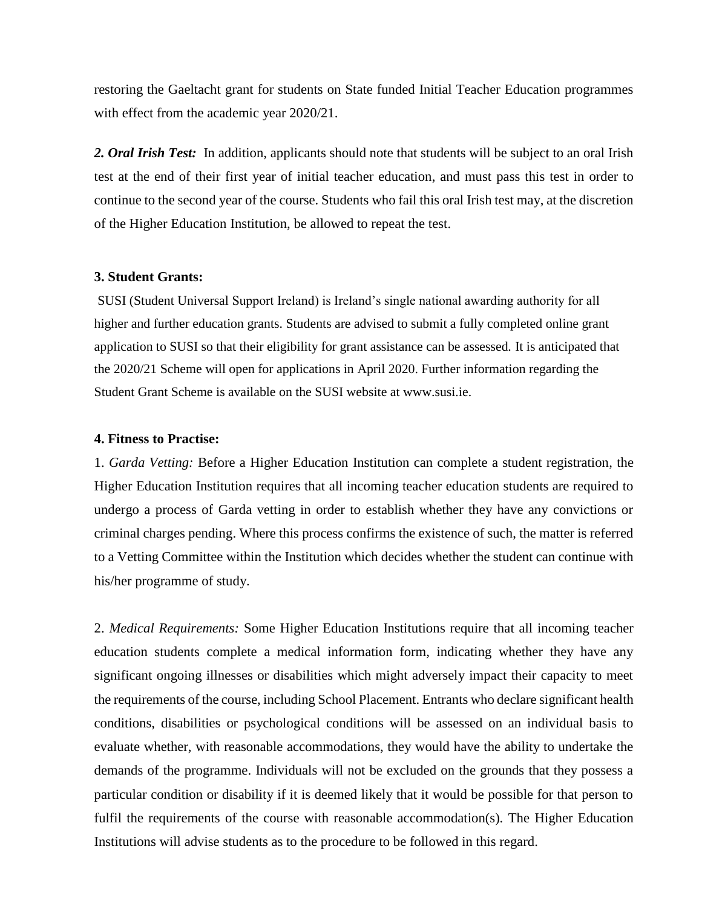restoring the Gaeltacht grant for students on State funded Initial Teacher Education programmes with effect from the academic year 2020/21.

*2. Oral Irish Test:* In addition, applicants should note that students will be subject to an oral Irish test at the end of their first year of initial teacher education, and must pass this test in order to continue to the second year of the course. Students who fail this oral Irish test may, at the discretion of the Higher Education Institution, be allowed to repeat the test.

#### **3. Student Grants:**

SUSI (Student Universal Support Ireland) is Ireland's single national awarding authority for all higher and further education grants. Students are advised to submit a fully completed online grant application to SUSI so that their eligibility for grant assistance can be assessed. It is anticipated that the 2020/21 Scheme will open for applications in April 2020. Further information regarding the Student Grant Scheme is available on the SUSI website at www.susi.ie.

#### **4. Fitness to Practise:**

1. *Garda Vetting:* Before a Higher Education Institution can complete a student registration, the Higher Education Institution requires that all incoming teacher education students are required to undergo a process of Garda vetting in order to establish whether they have any convictions or criminal charges pending. Where this process confirms the existence of such, the matter is referred to a Vetting Committee within the Institution which decides whether the student can continue with his/her programme of study.

2. *Medical Requirements:* Some Higher Education Institutions require that all incoming teacher education students complete a medical information form, indicating whether they have any significant ongoing illnesses or disabilities which might adversely impact their capacity to meet the requirements of the course, including School Placement. Entrants who declare significant health conditions, disabilities or psychological conditions will be assessed on an individual basis to evaluate whether, with reasonable accommodations, they would have the ability to undertake the demands of the programme. Individuals will not be excluded on the grounds that they possess a particular condition or disability if it is deemed likely that it would be possible for that person to fulfil the requirements of the course with reasonable accommodation(s). The Higher Education Institutions will advise students as to the procedure to be followed in this regard.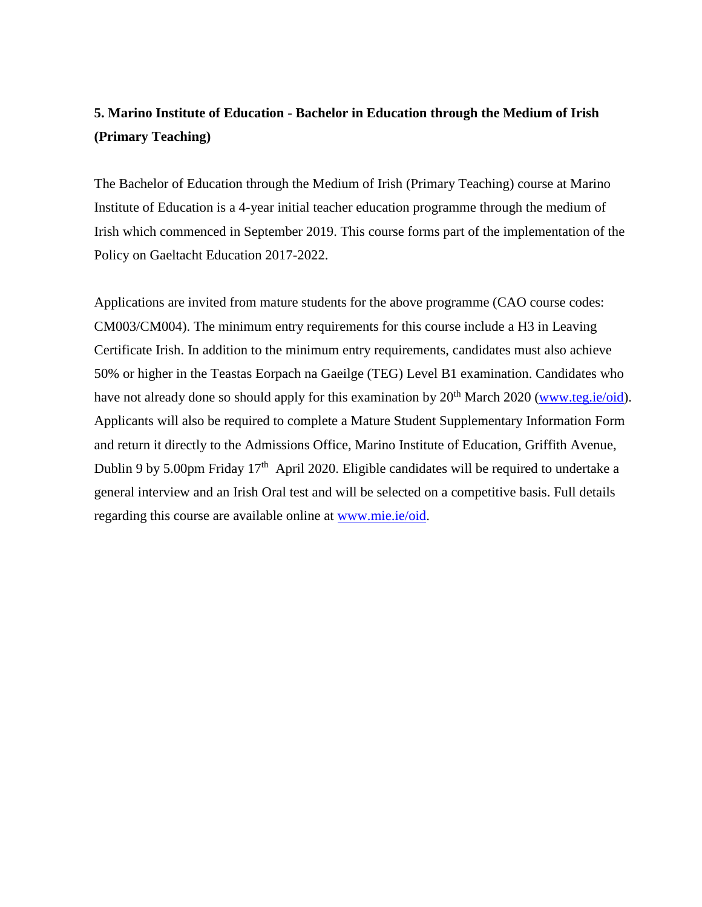## **5. Marino Institute of Education - Bachelor in Education through the Medium of Irish (Primary Teaching)**

The Bachelor of Education through the Medium of Irish (Primary Teaching) course at Marino Institute of Education is a 4-year initial teacher education programme through the medium of Irish which commenced in September 2019. This course forms part of the implementation of the Policy on Gaeltacht Education 2017-2022.

Applications are invited from mature students for the above programme (CAO course codes: CM003/CM004). The minimum entry requirements for this course include a H3 in Leaving Certificate Irish. In addition to the minimum entry requirements, candidates must also achieve 50% or higher in the Teastas Eorpach na Gaeilge (TEG) Level B1 examination. Candidates who have not already done so should apply for this examination by  $20<sup>th</sup>$  March 2020 [\(www.teg.ie/oid\)](http://www.teg.ie/oid). Applicants will also be required to complete a Mature Student Supplementary Information Form and return it directly to the Admissions Office, Marino Institute of Education, Griffith Avenue, Dublin 9 by 5.00pm Friday  $17<sup>th</sup>$  April 2020. Eligible candidates will be required to undertake a general interview and an Irish Oral test and will be selected on a competitive basis. Full details regarding this course are available online at [www.mie.ie/oid.](http://www.mie.ie/oid)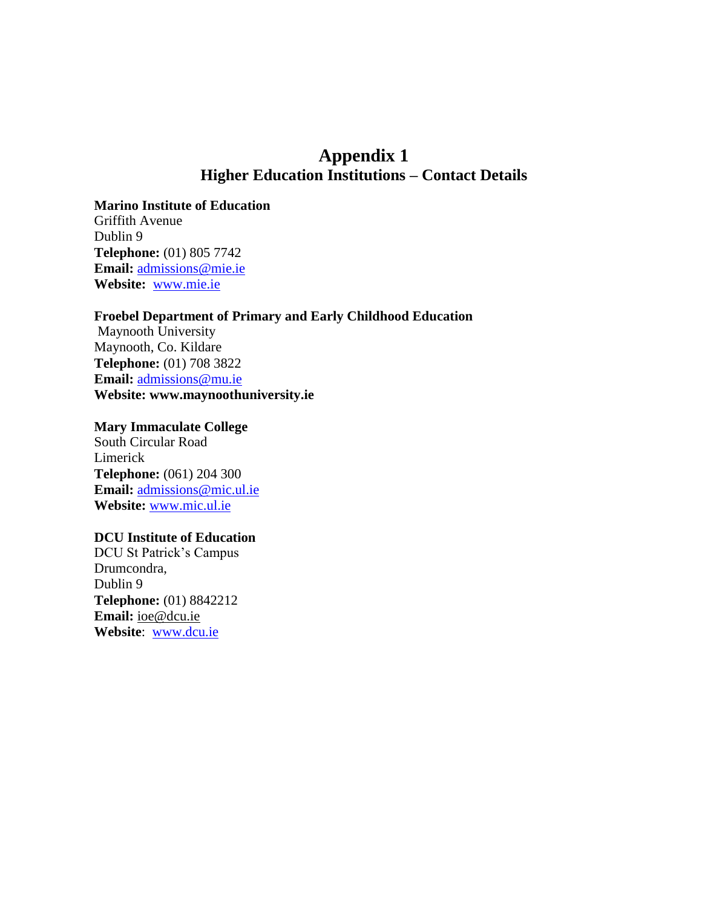## **Appendix 1 Higher Education Institutions – Contact Details**

**Marino Institute of Education**

Griffith Avenue Dublin 9 **Telephone:** (01) 805 7742 **Email:** admission[s@mie.ie](mailto:info@mie.ie) **Website:** [www.mie.ie](http://www.mie.ie/)

#### **Froebel Department of Primary and Early Childhood Education**

Maynooth University Maynooth, Co. Kildare **Telephone:** (01) 708 3822 **Email:** [admissions@mu.ie](mailto:admissions@mu.ie) **Website: www.maynoothuniversity.ie**

#### **Mary Immaculate College**

South Circular Road Limerick **Telephone:** (061) 204 300 **Email:** [admissions@mic.ul.ie](mailto:admissions@mic.ul.ie) **Website:** [www.mic.ul.ie](http://www.mic.ul.ie/)

#### **DCU Institute of Education**

DCU St Patrick's Campus Drumcondra, Dublin 9 **Telephone:** (01) 8842212 **Email:** [ioe@dcu.ie](mailto:ioe@dcu.ie) **Website**: [www.dcu.ie](http://www.dcu.ie/)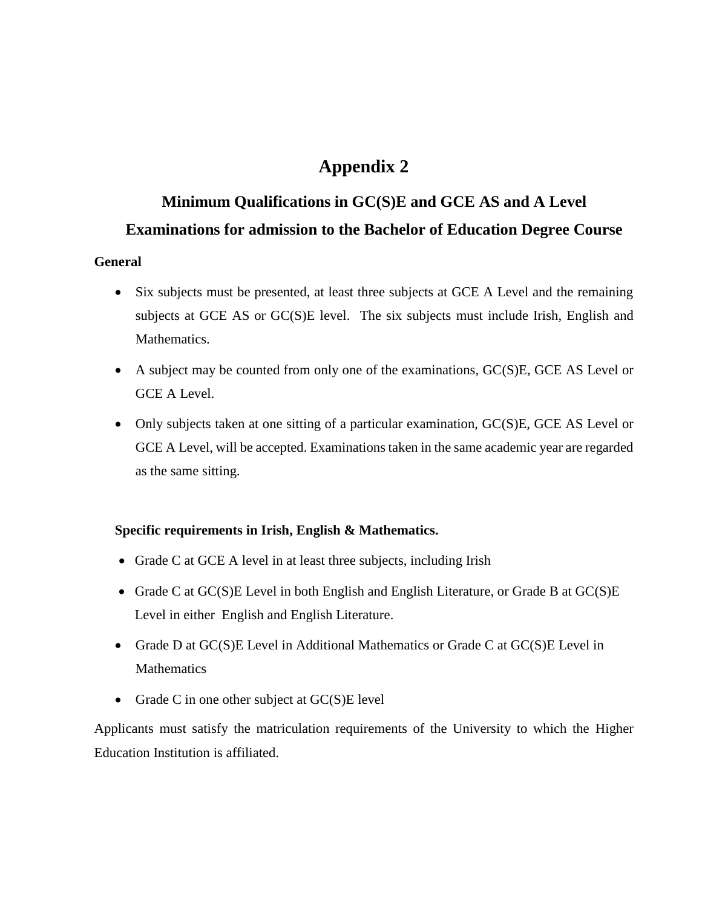## **Appendix 2**

## **Minimum Qualifications in GC(S)E and GCE AS and A Level Examinations for admission to the Bachelor of Education Degree Course**

#### **General**

- Six subjects must be presented, at least three subjects at GCE A Level and the remaining subjects at GCE AS or GC(S)E level. The six subjects must include Irish, English and **Mathematics**
- A subject may be counted from only one of the examinations, GC(S)E, GCE AS Level or GCE A Level.
- Only subjects taken at one sitting of a particular examination, GC(S)E, GCE AS Level or GCE A Level, will be accepted. Examinations taken in the same academic year are regarded as the same sitting.

#### **Specific requirements in Irish, English & Mathematics.**

- Grade C at GCE A level in at least three subjects, including Irish
- Grade C at GC(S)E Level in both English and English Literature, or Grade B at GC(S)E Level in either English and English Literature.
- Grade D at GC(S)E Level in Additional Mathematics or Grade C at GC(S)E Level in **Mathematics**
- Grade C in one other subject at  $GC(S)E$  level

Applicants must satisfy the matriculation requirements of the University to which the Higher Education Institution is affiliated.